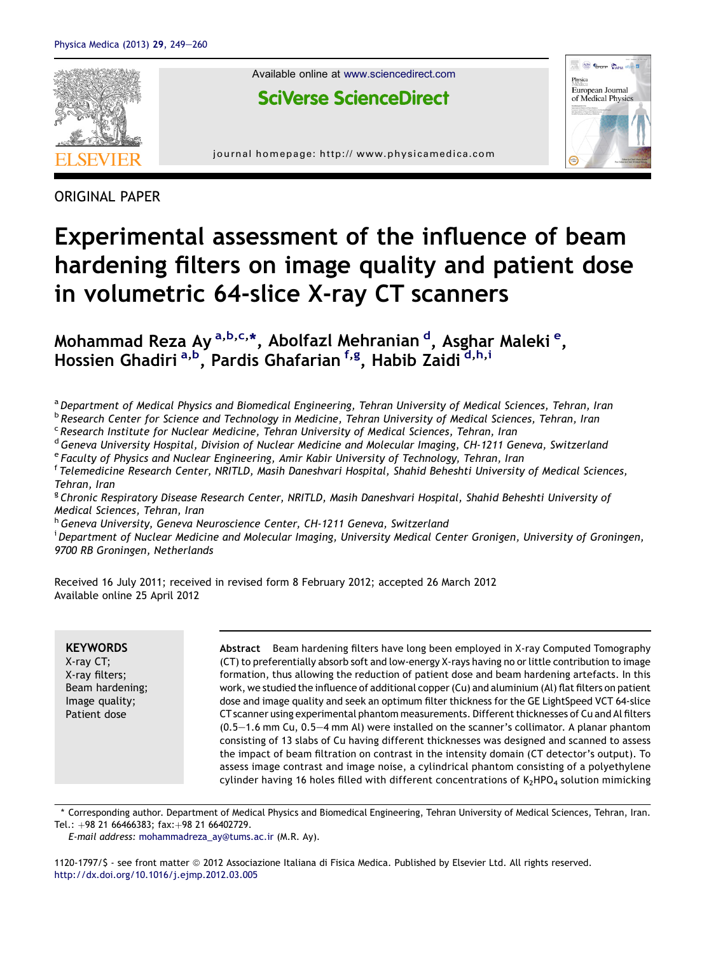

ORIGINAL PAPER

# Experimental assessment of the influence of beam hardening filters on image quality and patient dose in volumetric 64-slice X-ray CT scanners

Mohammad Reza Ay <sup>a,b,c,</sup>\*, Abolfazl Mehranian <sup>d</sup>, Asghar Maleki <sup>e</sup>, Hossien Ghadiri <sup>a,b</sup>, Pardis Ghafarian <sup>f,g</sup>, Habib Zaidi <sup>d,h,i</sup>

a Department of Medical Physics and Biomedical Engineering, Tehran University of Medical Sciences, Tehran, Iran

**b Research Center for Science and Technology in Medicine, Tehran University of Medical Sciences, Tehran, Iran** <sup>c</sup> Research Institute for Nuclear Medicine, Tehran University of Medical Sciences, Tehran, Iran

<sup>d</sup> Geneva University Hospital, Division of Nuclear Medicine and Molecular Imaging, CH-1211 Geneva, Switzerland

<sup>e</sup> Faculty of Physics and Nuclear Engineering, Amir Kabir University of Technology, Tehran, Iran

f Telemedicine Research Center, NRITLD, Masih Daneshvari Hospital, Shahid Beheshti University of Medical Sciences, Tehran, Iran

<sup>g</sup> Chronic Respiratory Disease Research Center, NRITLD, Masih Daneshvari Hospital, Shahid Beheshti University of Medical Sciences, Tehran, Iran

h Geneva University, Geneva Neuroscience Center, CH-1211 Geneva, Switzerland

<sup>i</sup> Department of Nuclear Medicine and Molecular Imaging, University Medical Center Gronigen, University of Groningen, 9700 RB Groningen, Netherlands

Received 16 July 2011; received in revised form 8 February 2012; accepted 26 March 2012 Available online 25 April 2012

**KEYWORDS** X-ray CT; X-ray filters; Beam hardening; Image quality; Patient dose

Abstract Beam hardening filters have long been employed in X-ray Computed Tomography (CT) to preferentially absorb soft and low-energy X-rays having no or little contribution to image formation, thus allowing the reduction of patient dose and beam hardening artefacts. In this work, we studied the influence of additional copper (Cu) and aluminium (Al) flat filters on patient dose and image quality and seek an optimum filter thickness for the GE LightSpeed VCT 64-slice CT scanner using experimental phantom measurements. Different thicknesses of Cu and Al filters  $(0.5-1.6$  mm Cu,  $0.5-4$  mm Al) were installed on the scanner's collimator. A planar phantom consisting of 13 slabs of Cu having different thicknesses was designed and scanned to assess the impact of beam filtration on contrast in the intensity domain (CT detector's output). To assess image contrast and image noise, a cylindrical phantom consisting of a polyethylene cylinder having 16 holes filled with different concentrations of  $K_2HPO_4$  solution mimicking

\* Corresponding author. Department of Medical Physics and Biomedical Engineering, Tehran University of Medical Sciences, Tehran, Iran. Tel.: +98 21 66466383; fax:+98 21 66402729.

E-mail address: [mohammadreza\\_ay@tums.ac.ir](mailto:mohammadreza_ay@tums.ac.ir) (M.R. Ay).

1120-1797/\$ - see front matter ª 2012 Associazione Italiana di Fisica Medica. Published by Elsevier Ltd. All rights reserved. <http://dx.doi.org/10.1016/j.ejmp.2012.03.005>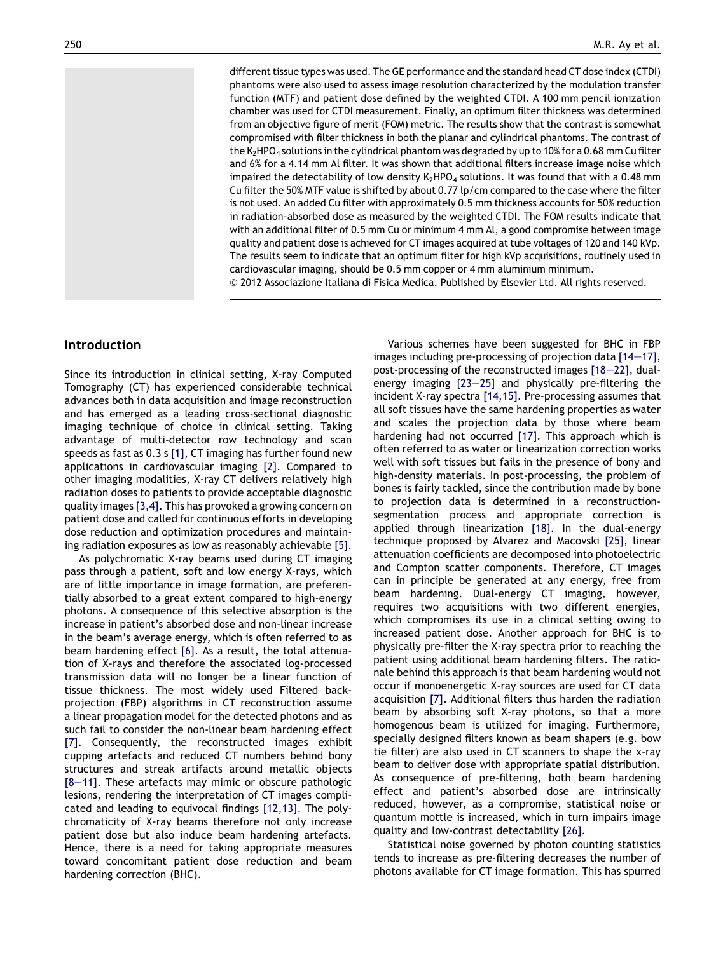different tissue types was used. The GE performance and the standard head CT dose index (CTDI) phantoms were also used to assess image resolution characterized by the modulation transfer function (MTF) and patient dose defined by the weighted CTDI. A 100 mm pencil ionization chamber was used for CTDI measurement. Finally, an optimum filter thickness was determined from an objective figure of merit (FOM) metric. The results show that the contrast is somewhat compromised with filter thickness in both the planar and cylindrical phantoms. The contrast of the K<sub>2</sub>HPO<sub>4</sub> solutions in the cylindrical phantom was degraded by up to 10% for a 0.68 mm Cu filter and 6% for a 4.14 mm Al filter. It was shown that additional filters increase image noise which impaired the detectability of low density  $K_2HPO_4$  solutions. It was found that with a 0.48 mm Cu filter the 50% MTF value is shifted by about 0.77 lp/cm compared to the case where the filter is not used. An added Cu filter with approximately 0.5 mm thickness accounts for 50% reduction in radiation-absorbed dose as measured by the weighted CTDI. The FOM results indicate that with an additional filter of 0.5 mm Cu or minimum 4 mm Al, a good compromise between image quality and patient dose is achieved for CT images acquired at tube voltages of 120 and 140 kVp. The results seem to indicate that an optimum filter for high kVp acquisitions, routinely used in cardiovascular imaging, should be 0.5 mm copper or 4 mm aluminium minimum.

ª 2012 Associazione Italiana di Fisica Medica. Published by Elsevier Ltd. All rights reserved.

## Introduction

Since its introduction in clinical setting, X-ray Computed Tomography (CT) has experienced considerable technical advances both in data acquisition and image reconstruction and has emerged as a leading cross-sectional diagnostic imaging technique of choice in clinical setting. Taking advantage of multi-detector row technology and scan speeds as fast as 0.3 s [\[1\]](#page-10-0), CT imaging has further found new applications in cardiovascular imaging [\[2\]](#page-10-0). Compared to other imaging modalities, X-ray CT delivers relatively high radiation doses to patients to provide acceptable diagnostic quality images [\[3,4\]](#page-10-0). This has provoked a growing concern on patient dose and called for continuous efforts in developing dose reduction and optimization procedures and maintaining radiation exposures as low as reasonably achievable [\[5\].](#page-10-0)

As polychromatic X-ray beams used during CT imaging pass through a patient, soft and low energy X-rays, which are of little importance in image formation, are preferentially absorbed to a great extent compared to high-energy photons. A consequence of this selective absorption is the increase in patient's absorbed dose and non-linear increase in the beam's average energy, which is often referred to as beam hardening effect [\[6\].](#page-10-0) As a result, the total attenuation of X-rays and therefore the associated log-processed transmission data will no longer be a linear function of tissue thickness. The most widely used Filtered backprojection (FBP) algorithms in CT reconstruction assume a linear propagation model for the detected photons and as such fail to consider the non-linear beam hardening effect [\[7\].](#page-10-0) Consequently, the reconstructed images exhibit cupping artefacts and reduced CT numbers behind bony structures and streak artifacts around metallic objects  $[8-11]$  $[8-11]$  $[8-11]$ . These artefacts may mimic or obscure pathologic lesions, rendering the interpretation of CT images complicated and leading to equivocal findings [\[12,13\]](#page-10-0). The polychromaticity of X-ray beams therefore not only increase patient dose but also induce beam hardening artefacts. Hence, there is a need for taking appropriate measures toward concomitant patient dose reduction and beam hardening correction (BHC).

Various schemes have been suggested for BHC in FBP images including pre-processing of projection data  $[14-17]$  $[14-17]$ , post-processing of the reconstructed images  $[18-22]$  $[18-22]$ , dualenergy imaging  $[23-25]$  $[23-25]$  $[23-25]$  and physically pre-filtering the incident X-ray spectra [\[14,15\].](#page-10-0) Pre-processing assumes that all soft tissues have the same hardening properties as water and scales the projection data by those where beam hardening had not occurred [\[17\].](#page-10-0) This approach which is often referred to as water or linearization correction works well with soft tissues but fails in the presence of bony and high-density materials. In post-processing, the problem of bones is fairly tackled, since the contribution made by bone to projection data is determined in a reconstructionsegmentation process and appropriate correction is applied through linearization [\[18\]](#page-10-0). In the dual-energy technique proposed by Alvarez and Macovski [\[25\]](#page-11-0), linear attenuation coefficients are decomposed into photoelectric and Compton scatter components. Therefore, CT images can in principle be generated at any energy, free from beam hardening. Dual-energy CT imaging, however, requires two acquisitions with two different energies, which compromises its use in a clinical setting owing to increased patient dose. Another approach for BHC is to physically pre-filter the X-ray spectra prior to reaching the patient using additional beam hardening filters. The rationale behind this approach is that beam hardening would not occur if monoenergetic X-ray sources are used for CT data acquisition [\[7\].](#page-10-0) Additional filters thus harden the radiation beam by absorbing soft X-ray photons, so that a more homogenous beam is utilized for imaging. Furthermore, specially designed filters known as beam shapers (e.g. bow tie filter) are also used in CT scanners to shape the x-ray beam to deliver dose with appropriate spatial distribution. As consequence of pre-filtering, both beam hardening effect and patient's absorbed dose are intrinsically reduced, however, as a compromise, statistical noise or quantum mottle is increased, which in turn impairs image quality and low-contrast detectability [\[26\]](#page-11-0).

Statistical noise governed by photon counting statistics tends to increase as pre-filtering decreases the number of photons available for CT image formation. This has spurred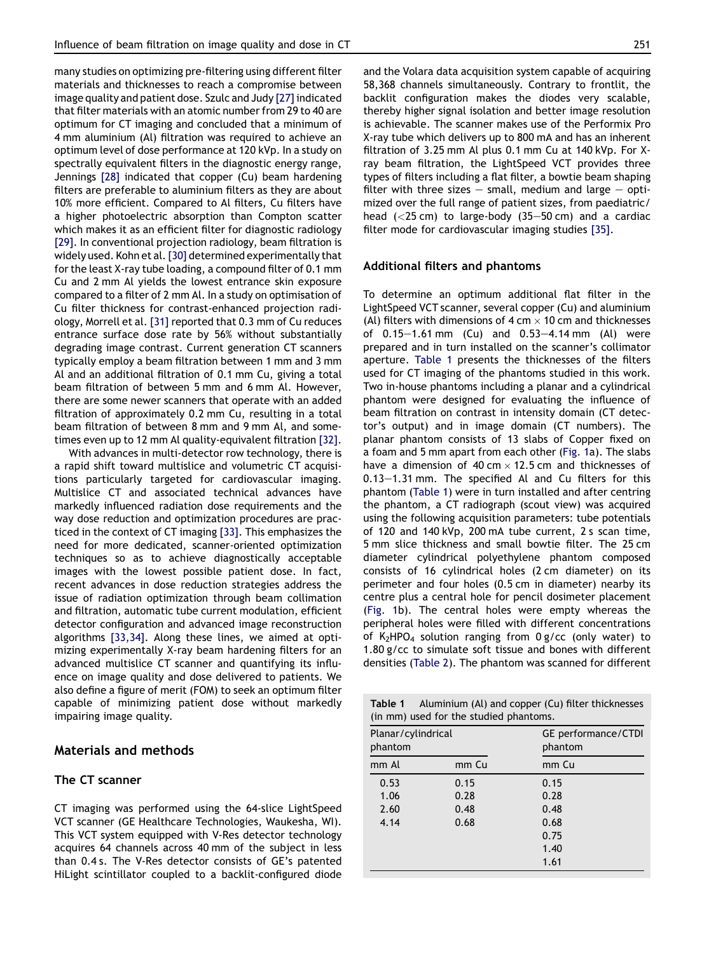<span id="page-2-0"></span>many studies on optimizing pre-filtering using different filter materials and thicknesses to reach a compromise between image quality and patient dose. Szulc and Judy [\[27\]](#page-11-0) indicated that filter materials with an atomic number from 29 to 40 are optimum for CT imaging and concluded that a minimum of 4 mm aluminium (Al) filtration was required to achieve an optimum level of dose performance at 120 kVp. In a study on spectrally equivalent filters in the diagnostic energy range, Jennings [\[28\]](#page-11-0) indicated that copper (Cu) beam hardening filters are preferable to aluminium filters as they are about 10% more efficient. Compared to Al filters, Cu filters have a higher photoelectric absorption than Compton scatter which makes it as an efficient filter for diagnostic radiology [\[29\]](#page-11-0). In conventional projection radiology, beam filtration is widely used. Kohn et al. [\[30\]](#page-11-0) determined experimentally that for the least X-ray tube loading, a compound filter of 0.1 mm Cu and 2 mm Al yields the lowest entrance skin exposure compared to a filter of 2 mm Al. In a study on optimisation of Cu filter thickness for contrast-enhanced projection radiology, Morrell et al. [\[31\]](#page-11-0) reported that 0.3 mm of Cu reduces entrance surface dose rate by 56% without substantially degrading image contrast. Current generation CT scanners typically employ a beam filtration between 1 mm and 3 mm Al and an additional filtration of 0.1 mm Cu, giving a total beam filtration of between 5 mm and 6 mm Al. However, there are some newer scanners that operate with an added filtration of approximately 0.2 mm Cu, resulting in a total beam filtration of between 8 mm and 9 mm Al, and sometimes even up to 12 mm Al quality-equivalent filtration [\[32\]](#page-11-0).

With advances in multi-detector row technology, there is a rapid shift toward multislice and volumetric CT acquisitions particularly targeted for cardiovascular imaging. Multislice CT and associated technical advances have markedly influenced radiation dose requirements and the way dose reduction and optimization procedures are practiced in the context of CT imaging [\[33\].](#page-11-0) This emphasizes the need for more dedicated, scanner-oriented optimization techniques so as to achieve diagnostically acceptable images with the lowest possible patient dose. In fact, recent advances in dose reduction strategies address the issue of radiation optimization through beam collimation and filtration, automatic tube current modulation, efficient detector configuration and advanced image reconstruction algorithms [\[33,34\]](#page-11-0). Along these lines, we aimed at optimizing experimentally X-ray beam hardening filters for an advanced multislice CT scanner and quantifying its influence on image quality and dose delivered to patients. We also define a figure of merit (FOM) to seek an optimum filter capable of minimizing patient dose without markedly impairing image quality.

# Materials and methods

### The CT scanner

CT imaging was performed using the 64-slice LightSpeed VCT scanner (GE Healthcare Technologies, Waukesha, WI). This VCT system equipped with V-Res detector technology acquires 64 channels across 40 mm of the subject in less than 0.4 s. The V-Res detector consists of GE's patented HiLight scintillator coupled to a backlit-configured diode and the Volara data acquisition system capable of acquiring 58,368 channels simultaneously. Contrary to frontlit, the backlit configuration makes the diodes very scalable, thereby higher signal isolation and better image resolution is achievable. The scanner makes use of the Performix Pro X-ray tube which delivers up to 800 mA and has an inherent filtration of 3.25 mm Al plus 0.1 mm Cu at 140 kVp. For Xray beam filtration, the LightSpeed VCT provides three types of filters including a flat filter, a bowtie beam shaping filter with three sizes  $-$  small, medium and large  $-$  optimized over the full range of patient sizes, from paediatric/ head  $(<25 \text{ cm})$  to large-body  $(35-50 \text{ cm})$  and a cardiac filter mode for cardiovascular imaging studies [\[35\].](#page-11-0)

#### Additional filters and phantoms

To determine an optimum additional flat filter in the LightSpeed VCT scanner, several copper (Cu) and aluminium (Al) filters with dimensions of  $4 \text{ cm} \times 10 \text{ cm}$  and thicknesses of  $0.15-1.61$  mm  $(Cu)$  and  $0.53-4.14$  mm  $(Al)$  were prepared and in turn installed on the scanner's collimator aperture. Table 1 presents the thicknesses of the filters used for CT imaging of the phantoms studied in this work. Two in-house phantoms including a planar and a cylindrical phantom were designed for evaluating the influence of beam filtration on contrast in intensity domain (CT detector's output) and in image domain (CT numbers). The planar phantom consists of 13 slabs of Copper fixed on a foam and 5 mm apart from each other [\(Fig. 1a](#page-3-0)). The slabs have a dimension of 40 cm  $\times$  12.5 cm and thicknesses of  $0.13-1.31$  mm. The specified Al and Cu filters for this phantom (Table 1) were in turn installed and after centring the phantom, a CT radiograph (scout view) was acquired using the following acquisition parameters: tube potentials of 120 and 140 kVp, 200 mA tube current, 2 s scan time, 5 mm slice thickness and small bowtie filter. The 25 cm diameter cylindrical polyethylene phantom composed consists of 16 cylindrical holes (2 cm diameter) on its perimeter and four holes (0.5 cm in diameter) nearby its centre plus a central hole for pencil dosimeter placement ([Fig. 1](#page-3-0)b). The central holes were empty whereas the peripheral holes were filled with different concentrations of K<sub>2</sub>HPO<sub>4</sub> solution ranging from  $0 g/cc$  (only water) to 1.80 g/cc to simulate soft tissue and bones with different densities ([Table 2](#page-3-0)). The phantom was scanned for different

| Aluminium (Al) and copper (Cu) filter thicknesses<br>Table 1<br>(in mm) used for the studied phantoms. |       |                                |  |  |  |  |  |  |
|--------------------------------------------------------------------------------------------------------|-------|--------------------------------|--|--|--|--|--|--|
| Planar/cylindrical<br>phantom                                                                          |       | GE performance/CTDI<br>phantom |  |  |  |  |  |  |
| mm Al                                                                                                  | mm Cu | mm Cu                          |  |  |  |  |  |  |
| 0.53                                                                                                   | 0.15  | 0.15                           |  |  |  |  |  |  |
| 1.06                                                                                                   | 0.28  | 0.28                           |  |  |  |  |  |  |
| 2.60                                                                                                   | 0.48  | 0.48                           |  |  |  |  |  |  |
| 4.14                                                                                                   | 0.68  | 0.68                           |  |  |  |  |  |  |
|                                                                                                        |       | 0.75                           |  |  |  |  |  |  |
|                                                                                                        |       | 1.40                           |  |  |  |  |  |  |
|                                                                                                        |       | 1.61                           |  |  |  |  |  |  |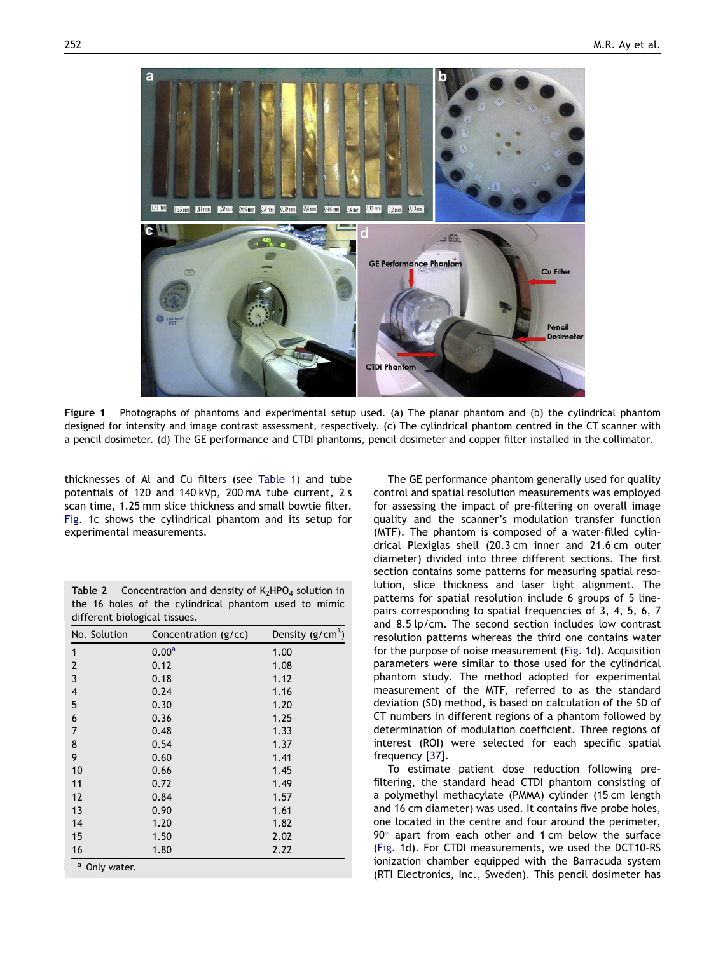<span id="page-3-0"></span>

Figure 1 Photographs of phantoms and experimental setup used. (a) The planar phantom and (b) the cylindrical phantom designed for intensity and image contrast assessment, respectively. (c) The cylindrical phantom centred in the CT scanner with a pencil dosimeter. (d) The GE performance and CTDI phantoms, pencil dosimeter and copper filter installed in the collimator.

thicknesses of Al and Cu filters (see [Table 1\)](#page-2-0) and tube potentials of 120 and 140 kVp, 200 mA tube current, 2 s scan time, 1.25 mm slice thickness and small bowtie filter. Fig. 1c shows the cylindrical phantom and its setup for experimental measurements.

|  |                               |  | <b>Table 2</b> Concentration and density of $K_2HPO_4$ solution in |  |  |
|--|-------------------------------|--|--------------------------------------------------------------------|--|--|
|  |                               |  | the 16 holes of the cylindrical phantom used to mimic              |  |  |
|  | different biological tissues. |  |                                                                    |  |  |

| No. Solution                | Concentration (g/cc) | Density $(g/cm3)$ |
|-----------------------------|----------------------|-------------------|
| 1                           | 0.00 <sup>a</sup>    | 1.00              |
| $\overline{2}$              | 0.12                 | 1.08              |
| $\overline{3}$              | 0.18                 | 1.12              |
| $\overline{\mathcal{A}}$    | 0.24                 | 1.16              |
| 5                           | 0.30                 | 1.20              |
| 6                           | 0.36                 | 1.25              |
| $\overline{7}$              | 0.48                 | 1.33              |
| 8                           | 0.54                 | 1.37              |
| 9                           | 0.60                 | 1.41              |
| 10                          | 0.66                 | 1.45              |
| 11                          | 0.72                 | 1.49              |
| 12                          | 0.84                 | 1.57              |
| 13                          | 0.90                 | 1.61              |
| 14                          | 1.20                 | 1.82              |
| 15                          | 1.50                 | 2.02              |
| 16                          | 1.80                 | 2.22              |
| $\mathsf{a}$<br>Only water. |                      |                   |

The GE performance phantom generally used for quality control and spatial resolution measurements was employed for assessing the impact of pre-filtering on overall image quality and the scanner's modulation transfer function (MTF). The phantom is composed of a water-filled cylindrical Plexiglas shell (20.3 cm inner and 21.6 cm outer diameter) divided into three different sections. The first section contains some patterns for measuring spatial resolution, slice thickness and laser light alignment. The patterns for spatial resolution include 6 groups of 5 linepairs corresponding to spatial frequencies of 3, 4, 5, 6, 7 and 8.5 lp/cm. The second section includes low contrast resolution patterns whereas the third one contains water for the purpose of noise measurement (Fig. 1d). Acquisition parameters were similar to those used for the cylindrical phantom study. The method adopted for experimental measurement of the MTF, referred to as the standard deviation (SD) method, is based on calculation of the SD of CT numbers in different regions of a phantom followed by determination of modulation coefficient. Three regions of interest (ROI) were selected for each specific spatial frequency [\[37\]](#page-11-0).

To estimate patient dose reduction following prefiltering, the standard head CTDI phantom consisting of a polymethyl methacylate (PMMA) cylinder (15 cm length and 16 cm diameter) was used. It contains five probe holes, one located in the centre and four around the perimeter,  $90^\circ$  apart from each other and 1 cm below the surface (Fig. 1d). For CTDI measurements, we used the DCT10-RS ionization chamber equipped with the Barracuda system (RTI Electronics, Inc., Sweden). This pencil dosimeter has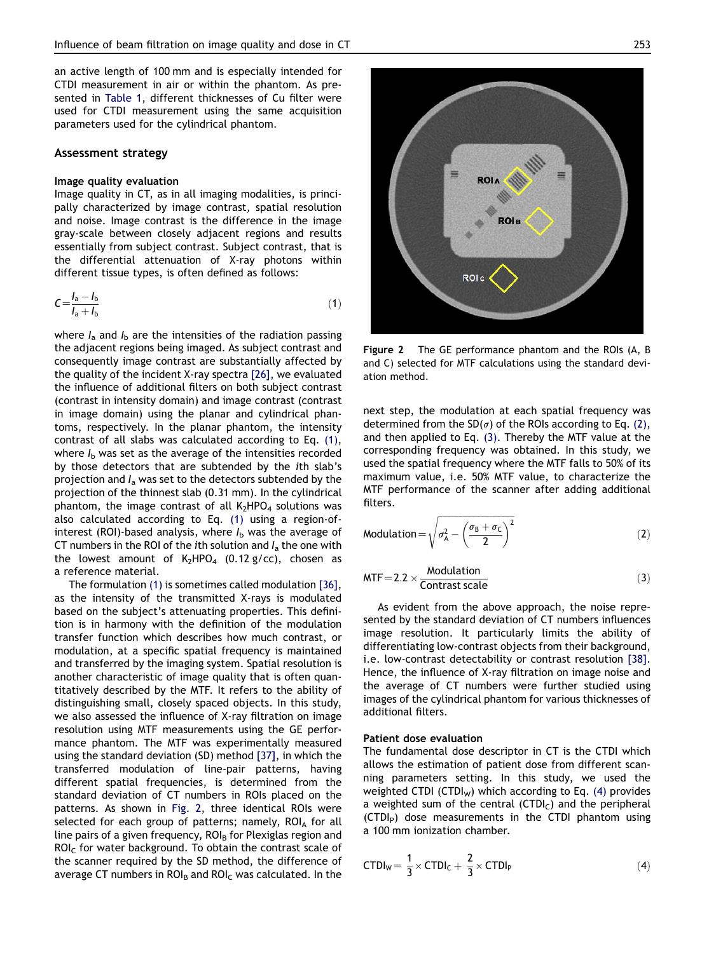<span id="page-4-0"></span>an active length of 100 mm and is especially intended for CTDI measurement in air or within the phantom. As presented in [Table 1](#page-2-0), different thicknesses of Cu filter were used for CTDI measurement using the same acquisition parameters used for the cylindrical phantom.

#### Assessment strategy

#### Image quality evaluation

Image quality in CT, as in all imaging modalities, is principally characterized by image contrast, spatial resolution and noise. Image contrast is the difference in the image gray-scale between closely adjacent regions and results essentially from subject contrast. Subject contrast, that is the differential attenuation of X-ray photons within different tissue types, is often defined as follows:

$$
C = \frac{I_a - I_b}{I_a + I_b} \tag{1}
$$

where  $I_a$  and  $I_b$  are the intensities of the radiation passing the adjacent regions being imaged. As subject contrast and consequently image contrast are substantially affected by the quality of the incident X-ray spectra [\[26\],](#page-11-0) we evaluated the influence of additional filters on both subject contrast (contrast in intensity domain) and image contrast (contrast in image domain) using the planar and cylindrical phantoms, respectively. In the planar phantom, the intensity contrast of all slabs was calculated according to Eq. (1), where  $I<sub>b</sub>$  was set as the average of the intensities recorded by those detectors that are subtended by the *i*th slab's projection and  $I_a$  was set to the detectors subtended by the projection of the thinnest slab (0.31 mm). In the cylindrical phantom, the image contrast of all  $K_2HPO_4$  solutions was also calculated according to Eq. (1) using a region-ofinterest (ROI)-based analysis, where  $I<sub>b</sub>$  was the average of CT numbers in the ROI of the *i*th solution and  $I_a$  the one with the lowest amount of  $K_2HPO_4$  (0.12 g/cc), chosen as a reference material.

The formulation (1) is sometimes called modulation [\[36\]](#page-11-0), as the intensity of the transmitted X-rays is modulated based on the subject's attenuating properties. This definition is in harmony with the definition of the modulation transfer function which describes how much contrast, or modulation, at a specific spatial frequency is maintained and transferred by the imaging system. Spatial resolution is another characteristic of image quality that is often quantitatively described by the MTF. It refers to the ability of distinguishing small, closely spaced objects. In this study, we also assessed the influence of X-ray filtration on image resolution using MTF measurements using the GE performance phantom. The MTF was experimentally measured using the standard deviation (SD) method [\[37\]](#page-11-0), in which the transferred modulation of line-pair patterns, having different spatial frequencies, is determined from the standard deviation of CT numbers in ROIs placed on the patterns. As shown in Fig. 2, three identical ROIs were selected for each group of patterns; namely,  $ROI_A$  for all line pairs of a given frequency,  $ROL<sub>B</sub>$  for Plexiglas region and  $ROL<sub>C</sub>$  for water background. To obtain the contrast scale of the scanner required by the SD method, the difference of average CT numbers in  $ROI<sub>B</sub>$  and  $ROI<sub>C</sub>$  was calculated. In the

Figure 2 The GE performance phantom and the ROIs (A, B and C) selected for MTF calculations using the standard deviation method.

next step, the modulation at each spatial frequency was determined from the  $SD(\sigma)$  of the ROIs according to Eq. (2), and then applied to Eq. (3). Thereby the MTF value at the corresponding frequency was obtained. In this study, we used the spatial frequency where the MTF falls to 50% of its maximum value, i.e. 50% MTF value, to characterize the MTF performance of the scanner after adding additional filters.

$$
Modulation = \sqrt{\sigma_A^2 - \left(\frac{\sigma_B + \sigma_C}{2}\right)^2}
$$
 (2)

$$
MTF = 2.2 \times \frac{Modulation}{Contrast scale}
$$
 (3)

As evident from the above approach, the noise represented by the standard deviation of CT numbers influences image resolution. It particularly limits the ability of differentiating low-contrast objects from their background, i.e. low-contrast detectability or contrast resolution [\[38\]](#page-11-0). Hence, the influence of X-ray filtration on image noise and the average of CT numbers were further studied using images of the cylindrical phantom for various thicknesses of additional filters.

#### Patient dose evaluation

The fundamental dose descriptor in CT is the CTDI which allows the estimation of patient dose from different scanning parameters setting. In this study, we used the weighted CTDI (CTDI<sub>W</sub>) which according to Eq. (4) provides a weighted sum of the central (CTDI $<sub>C</sub>$ ) and the peripheral</sub> (CTDI<sub>P</sub>) dose measurements in the CTDI phantom using a 100 mm ionization chamber.

$$
\text{CTDI}_W = \frac{1}{3} \times \text{CTDI}_C + \frac{2}{3} \times \text{CTDI}_P \tag{4}
$$

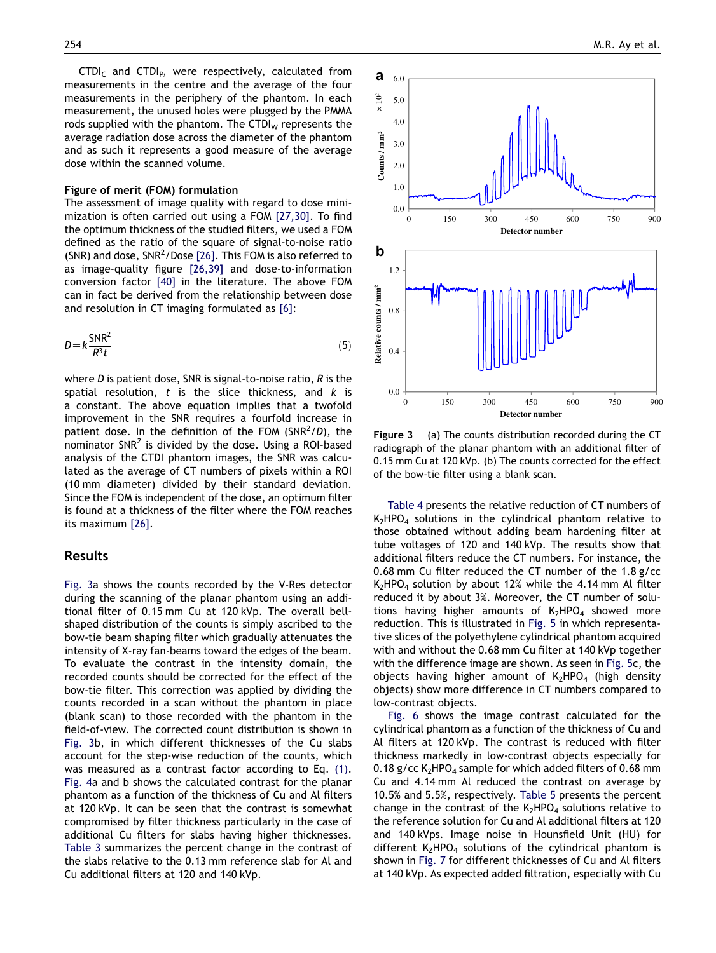$CTDI<sub>C</sub>$  and  $CTDI<sub>P</sub>$ , were respectively, calculated from measurements in the centre and the average of the four measurements in the periphery of the phantom. In each measurement, the unused holes were plugged by the PMMA rods supplied with the phantom. The CTDI $<sub>w</sub>$  represents the</sub> average radiation dose across the diameter of the phantom and as such it represents a good measure of the average dose within the scanned volume.

#### Figure of merit (FOM) formulation

The assessment of image quality with regard to dose minimization is often carried out using a FOM [\[27,30\].](#page-11-0) To find the optimum thickness of the studied filters, we used a FOM defined as the ratio of the square of signal-to-noise ratio (SNR) and dose, SNR<sup>2</sup>/Dose [\[26\].](#page-11-0) This FOM is also referred to as image-quality figure [\[26,39\]](#page-11-0) and dose-to-information conversion factor [\[40\]](#page-11-0) in the literature. The above FOM can in fact be derived from the relationship between dose and resolution in CT imaging formulated as [\[6\]:](#page-10-0)

$$
D = k \frac{\text{SNR}^2}{R^3 t} \tag{5}
$$

where  $D$  is patient dose, SNR is signal-to-noise ratio,  $R$  is the spatial resolution,  $t$  is the slice thickness, and  $k$  is a constant. The above equation implies that a twofold improvement in the SNR requires a fourfold increase in patient dose. In the definition of the FOM (SNR<sup>2</sup>/D), the nominator  $SNR<sup>2</sup>$  is divided by the dose. Using a ROI-based analysis of the CTDI phantom images, the SNR was calculated as the average of CT numbers of pixels within a ROI (10 mm diameter) divided by their standard deviation. Since the FOM is independent of the dose, an optimum filter is found at a thickness of the filter where the FOM reaches its maximum [\[26\]](#page-11-0).

## Results

Fig. 3a shows the counts recorded by the V-Res detector during the scanning of the planar phantom using an additional filter of 0.15 mm Cu at 120 kVp. The overall bellshaped distribution of the counts is simply ascribed to the bow-tie beam shaping filter which gradually attenuates the intensity of X-ray fan-beams toward the edges of the beam. To evaluate the contrast in the intensity domain, the recorded counts should be corrected for the effect of the bow-tie filter. This correction was applied by dividing the counts recorded in a scan without the phantom in place (blank scan) to those recorded with the phantom in the field-of-view. The corrected count distribution is shown in Fig. 3b, in which different thicknesses of the Cu slabs account for the step-wise reduction of the counts, which was measured as a contrast factor according to Eq. [\(1\).](#page-4-0) [Fig. 4a](#page-6-0) and b shows the calculated contrast for the planar phantom as a function of the thickness of Cu and Al filters at 120 kVp. It can be seen that the contrast is somewhat compromised by filter thickness particularly in the case of additional Cu filters for slabs having higher thicknesses. [Table 3](#page-6-0) summarizes the percent change in the contrast of the slabs relative to the 0.13 mm reference slab for Al and Cu additional filters at 120 and 140 kVp.



Figure 3 (a) The counts distribution recorded during the CT radiograph of the planar phantom with an additional filter of 0.15 mm Cu at 120 kVp. (b) The counts corrected for the effect of the bow-tie filter using a blank scan.

[Table 4](#page-7-0) presents the relative reduction of CT numbers of  $K_2$ HPO<sub>4</sub> solutions in the cylindrical phantom relative to those obtained without adding beam hardening filter at tube voltages of 120 and 140 kVp. The results show that additional filters reduce the CT numbers. For instance, the 0.68 mm Cu filter reduced the CT number of the 1.8 g/cc  $K<sub>2</sub>HPO<sub>4</sub>$  solution by about 12% while the 4.14 mm Al filter reduced it by about 3%. Moreover, the CT number of solutions having higher amounts of  $K_2HPO_4$  showed more reduction. This is illustrated in [Fig. 5](#page-7-0) in which representative slices of the polyethylene cylindrical phantom acquired with and without the 0.68 mm Cu filter at 140 kVp together with the difference image are shown. As seen in [Fig. 5c](#page-7-0), the objects having higher amount of  $K_2HPO_4$  (high density objects) show more difference in CT numbers compared to low-contrast objects.

[Fig. 6](#page-8-0) shows the image contrast calculated for the cylindrical phantom as a function of the thickness of Cu and Al filters at 120 kVp. The contrast is reduced with filter thickness markedly in low-contrast objects especially for 0.18 g/cc  $K_2HPO_4$  sample for which added filters of 0.68 mm Cu and 4.14 mm Al reduced the contrast on average by 10.5% and 5.5%, respectively. [Table 5](#page-8-0) presents the percent change in the contrast of the  $K_2HPO_4$  solutions relative to the reference solution for Cu and Al additional filters at 120 and 140 kVps. Image noise in Hounsfield Unit (HU) for different  $K_2HPO_4$  solutions of the cylindrical phantom is shown in [Fig. 7](#page-9-0) for different thicknesses of Cu and Al filters at 140 kVp. As expected added filtration, especially with Cu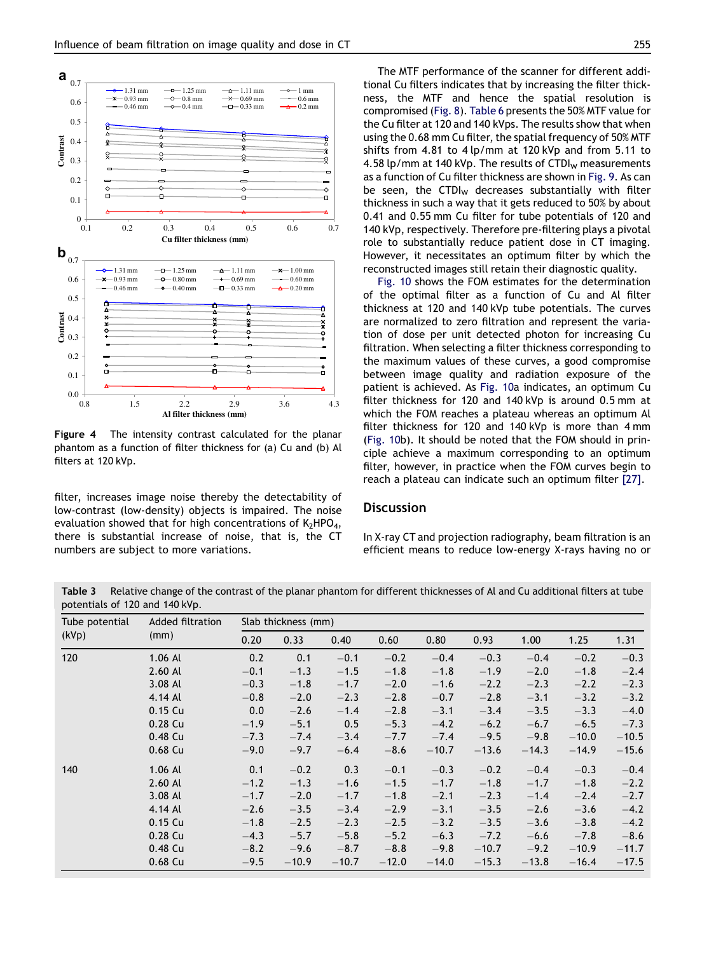<span id="page-6-0"></span>

Figure 4 The intensity contrast calculated for the planar phantom as a function of filter thickness for (a) Cu and (b) Al filters at 120 kVp.

filter, increases image noise thereby the detectability of low-contrast (low-density) objects is impaired. The noise evaluation showed that for high concentrations of  $K_2HPO_4$ , there is substantial increase of noise, that is, the CT numbers are subject to more variations.

The MTF performance of the scanner for different additional Cu filters indicates that by increasing the filter thickness, the MTF and hence the spatial resolution is compromised [\(Fig. 8\)](#page-9-0). [Table 6](#page-9-0) presents the 50% MTF value for the Cu filter at 120 and 140 kVps. The results show that when using the 0.68 mm Cu filter, the spatial frequency of 50% MTF shifts from 4.81 to 4 lp/mm at 120 kVp and from 5.11 to 4.58 lp/mm at 140 kVp. The results of  $CTDI<sub>w</sub>$  measurements as a function of Cu filter thickness are shown in [Fig. 9](#page-9-0). As can be seen, the CTDI $<sub>w</sub>$  decreases substantially with filter</sub> thickness in such a way that it gets reduced to 50% by about 0.41 and 0.55 mm Cu filter for tube potentials of 120 and 140 kVp, respectively. Therefore pre-filtering plays a pivotal role to substantially reduce patient dose in CT imaging. However, it necessitates an optimum filter by which the reconstructed images still retain their diagnostic quality.

[Fig. 10](#page-10-0) shows the FOM estimates for the determination of the optimal filter as a function of Cu and Al filter thickness at 120 and 140 kVp tube potentials. The curves are normalized to zero filtration and represent the variation of dose per unit detected photon for increasing Cu filtration. When selecting a filter thickness corresponding to the maximum values of these curves, a good compromise between image quality and radiation exposure of the patient is achieved. As [Fig. 10a](#page-10-0) indicates, an optimum Cu filter thickness for 120 and 140 kVp is around 0.5 mm at which the FOM reaches a plateau whereas an optimum Al filter thickness for 120 and 140 kVp is more than 4 mm ([Fig. 10](#page-10-0)b). It should be noted that the FOM should in principle achieve a maximum corresponding to an optimum filter, however, in practice when the FOM curves begin to reach a plateau can indicate such an optimum filter [\[27\].](#page-11-0)

# **Discussion**

In X-ray CT and projection radiography, beam filtration is an efficient means to reduce low-energy X-rays having no or

Table 3 Relative change of the contrast of the planar phantom for different thicknesses of Al and Cu additional filters at tube potentials of 120 and 140 kVp.

| Tube potential | Added filtration<br>(mm) |        | Slab thickness (mm) |         |         |         |         |         |         |         |  |  |  |
|----------------|--------------------------|--------|---------------------|---------|---------|---------|---------|---------|---------|---------|--|--|--|
| (kVp)          |                          | 0.20   | 0.33                | 0.40    | 0.60    | 0.80    | 0.93    | 1.00    | 1.25    | 1.31    |  |  |  |
| 120            | $1.06$ Al                | 0.2    | 0.1                 | $-0.1$  | $-0.2$  | $-0.4$  | $-0.3$  | $-0.4$  | $-0.2$  | $-0.3$  |  |  |  |
|                | 2.60 AL                  | $-0.1$ | $-1.3$              | $-1.5$  | $-1.8$  | $-1.8$  | $-1.9$  | $-2.0$  | $-1.8$  | $-2.4$  |  |  |  |
|                | 3.08 Al                  | $-0.3$ | $-1.8$              | $-1.7$  | $-2.0$  | $-1.6$  | $-2.2$  | $-2.3$  | $-2.2$  | $-2.3$  |  |  |  |
|                | 4.14 Al                  | $-0.8$ | $-2.0$              | $-2.3$  | $-2.8$  | $-0.7$  | $-2.8$  | $-3.1$  | $-3.2$  | $-3.2$  |  |  |  |
|                | 0.15 Cu                  | 0.0    | $-2.6$              | $-1.4$  | $-2.8$  | $-3.1$  | $-3.4$  | $-3.5$  | $-3.3$  | $-4.0$  |  |  |  |
|                | 0.28 Cu                  | $-1.9$ | $-5.1$              | 0.5     | $-5.3$  | $-4.2$  | $-6.2$  | $-6.7$  | $-6.5$  | $-7.3$  |  |  |  |
|                | 0.48 Cu                  | $-7.3$ | $-7.4$              | $-3.4$  | $-7.7$  | $-7.4$  | $-9.5$  | $-9.8$  | $-10.0$ | $-10.5$ |  |  |  |
|                | 0.68 Cu                  | $-9.0$ | $-9.7$              | $-6.4$  | $-8.6$  | $-10.7$ | $-13.6$ | $-14.3$ | $-14.9$ | $-15.6$ |  |  |  |
| 140            | $1.06$ Al                | 0.1    | $-0.2$              | 0.3     | $-0.1$  | $-0.3$  | $-0.2$  | $-0.4$  | $-0.3$  | $-0.4$  |  |  |  |
|                | 2.60 AL                  | $-1.2$ | $-1.3$              | $-1.6$  | $-1.5$  | $-1.7$  | $-1.8$  | $-1.7$  | $-1.8$  | $-2.2$  |  |  |  |
|                | 3.08 Al                  | $-1.7$ | $-2.0$              | $-1.7$  | $-1.8$  | $-2.1$  | $-2.3$  | $-1.4$  | $-2.4$  | $-2.7$  |  |  |  |
|                | 4.14 Al                  | $-2.6$ | $-3.5$              | $-3.4$  | $-2.9$  | $-3.1$  | $-3.5$  | $-2.6$  | $-3.6$  | $-4.2$  |  |  |  |
|                | 0.15 Cu                  | $-1.8$ | $-2.5$              | $-2.3$  | $-2.5$  | $-3.2$  | $-3.5$  | $-3.6$  | $-3.8$  | $-4.2$  |  |  |  |
|                | 0.28 Cu                  | $-4.3$ | $-5.7$              | $-5.8$  | $-5.2$  | $-6.3$  | $-7.2$  | $-6.6$  | $-7.8$  | $-8.6$  |  |  |  |
|                | 0.48 Cu                  | $-8.2$ | $-9.6$              | $-8.7$  | $-8.8$  | $-9.8$  | $-10.7$ | $-9.2$  | $-10.9$ | $-11.7$ |  |  |  |
|                | 0.68 Cu                  | $-9.5$ | $-10.9$             | $-10.7$ | $-12.0$ | $-14.0$ | $-15.3$ | $-13.8$ | $-16.4$ | $-17.5$ |  |  |  |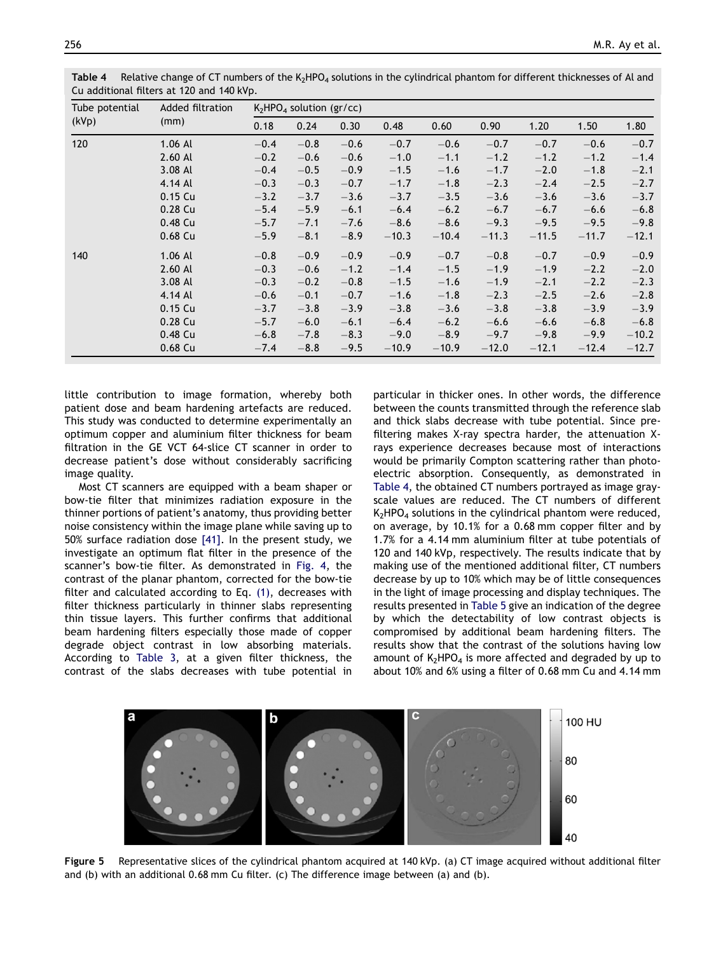| Tube potential | Added filtration |        | $K_2$ HPO <sub>4</sub> solution (gr/cc) |        |         |         |         |         |         |         |  |  |  |
|----------------|------------------|--------|-----------------------------------------|--------|---------|---------|---------|---------|---------|---------|--|--|--|
| (kVp)          | (mm)             | 0.18   | 0.24                                    | 0.30   | 0.48    | 0.60    | 0.90    | 1.20    | 1.50    | 1.80    |  |  |  |
| 120            | $1.06$ Al        | $-0.4$ | $-0.8$                                  | $-0.6$ | $-0.7$  | $-0.6$  | $-0.7$  | $-0.7$  | $-0.6$  | $-0.7$  |  |  |  |
|                | 2.60 Al          | $-0.2$ | $-0.6$                                  | $-0.6$ | $-1.0$  | $-1.1$  | $-1.2$  | $-1.2$  | $-1.2$  | $-1.4$  |  |  |  |
|                | 3.08 Al          | $-0.4$ | $-0.5$                                  | $-0.9$ | $-1.5$  | $-1.6$  | $-1.7$  | $-2.0$  | $-1.8$  | $-2.1$  |  |  |  |
|                | 4.14 Al          | $-0.3$ | $-0.3$                                  | $-0.7$ | $-1.7$  | $-1.8$  | $-2.3$  | $-2.4$  | $-2.5$  | $-2.7$  |  |  |  |
|                | 0.15 Cu          | $-3.2$ | $-3.7$                                  | $-3.6$ | $-3.7$  | $-3.5$  | $-3.6$  | $-3.6$  | $-3.6$  | $-3.7$  |  |  |  |
|                | 0.28 Cu          | $-5.4$ | $-5.9$                                  | $-6.1$ | $-6.4$  | $-6.2$  | $-6.7$  | $-6.7$  | $-6.6$  | $-6.8$  |  |  |  |
|                | 0.48 Cu          | $-5.7$ | $-7.1$                                  | $-7.6$ | $-8.6$  | $-8.6$  | $-9.3$  | $-9.5$  | $-9.5$  | $-9.8$  |  |  |  |
|                | 0.68 Cu          | $-5.9$ | $-8.1$                                  | $-8.9$ | $-10.3$ | $-10.4$ | $-11.3$ | $-11.5$ | $-11.7$ | $-12.1$ |  |  |  |
| 140            | $1.06$ Al        | $-0.8$ | $-0.9$                                  | $-0.9$ | $-0.9$  | $-0.7$  | $-0.8$  | $-0.7$  | $-0.9$  | $-0.9$  |  |  |  |
|                | 2.60 Al          | $-0.3$ | $-0.6$                                  | $-1.2$ | $-1.4$  | $-1.5$  | $-1.9$  | $-1.9$  | $-2.2$  | $-2.0$  |  |  |  |
|                | 3.08 Al          | $-0.3$ | $-0.2$                                  | $-0.8$ | $-1.5$  | $-1.6$  | $-1.9$  | $-2.1$  | $-2.2$  | $-2.3$  |  |  |  |
|                | 4.14 Al          | $-0.6$ | $-0.1$                                  | $-0.7$ | $-1.6$  | $-1.8$  | $-2.3$  | $-2.5$  | $-2.6$  | $-2.8$  |  |  |  |
|                | 0.15 Cu          | $-3.7$ | $-3.8$                                  | $-3.9$ | $-3.8$  | $-3.6$  | $-3.8$  | $-3.8$  | $-3.9$  | $-3.9$  |  |  |  |
|                | 0.28 Cu          | $-5.7$ | $-6.0$                                  | $-6.1$ | $-6.4$  | $-6.2$  | $-6.6$  | $-6.6$  | $-6.8$  | $-6.8$  |  |  |  |
|                | 0.48 Cu          | $-6.8$ | $-7.8$                                  | $-8.3$ | $-9.0$  | $-8.9$  | $-9.7$  | $-9.8$  | $-9.9$  | $-10.2$ |  |  |  |
|                | 0.68 Cu          | $-7.4$ | $-8.8$                                  | $-9.5$ | $-10.9$ | $-10.9$ | $-12.0$ | $-12.1$ | $-12.4$ | $-12.7$ |  |  |  |

<span id="page-7-0"></span>Table 4 Relative change of CT numbers of the  $K_2HPO_4$  solutions in the cylindrical phantom for different thicknesses of Al and Cu additional filters at 120 and 140 kVp.

little contribution to image formation, whereby both patient dose and beam hardening artefacts are reduced. This study was conducted to determine experimentally an optimum copper and aluminium filter thickness for beam filtration in the GE VCT 64-slice CT scanner in order to decrease patient's dose without considerably sacrificing image quality.

Most CT scanners are equipped with a beam shaper or bow-tie filter that minimizes radiation exposure in the thinner portions of patient's anatomy, thus providing better noise consistency within the image plane while saving up to 50% surface radiation dose [\[41\].](#page-11-0) In the present study, we investigate an optimum flat filter in the presence of the scanner's bow-tie filter. As demonstrated in [Fig. 4](#page-6-0), the contrast of the planar phantom, corrected for the bow-tie filter and calculated according to Eq. [\(1\),](#page-4-0) decreases with filter thickness particularly in thinner slabs representing thin tissue layers. This further confirms that additional beam hardening filters especially those made of copper degrade object contrast in low absorbing materials. According to [Table 3](#page-6-0), at a given filter thickness, the contrast of the slabs decreases with tube potential in

particular in thicker ones. In other words, the difference between the counts transmitted through the reference slab and thick slabs decrease with tube potential. Since prefiltering makes X-ray spectra harder, the attenuation Xrays experience decreases because most of interactions would be primarily Compton scattering rather than photoelectric absorption. Consequently, as demonstrated in Table 4, the obtained CT numbers portrayed as image grayscale values are reduced. The CT numbers of different  $K_2$ HPO<sub>4</sub> solutions in the cylindrical phantom were reduced, on average, by 10.1% for a 0.68 mm copper filter and by 1.7% for a 4.14 mm aluminium filter at tube potentials of 120 and 140 kVp, respectively. The results indicate that by making use of the mentioned additional filter, CT numbers decrease by up to 10% which may be of little consequences in the light of image processing and display techniques. The results presented in [Table 5](#page-8-0) give an indication of the degree by which the detectability of low contrast objects is compromised by additional beam hardening filters. The results show that the contrast of the solutions having low amount of  $K_2HPO_4$  is more affected and degraded by up to about 10% and 6% using a filter of 0.68 mm Cu and 4.14 mm



Figure 5 Representative slices of the cylindrical phantom acquired at 140 kVp. (a) CT image acquired without additional filter and (b) with an additional 0.68 mm Cu filter. (c) The difference image between (a) and (b).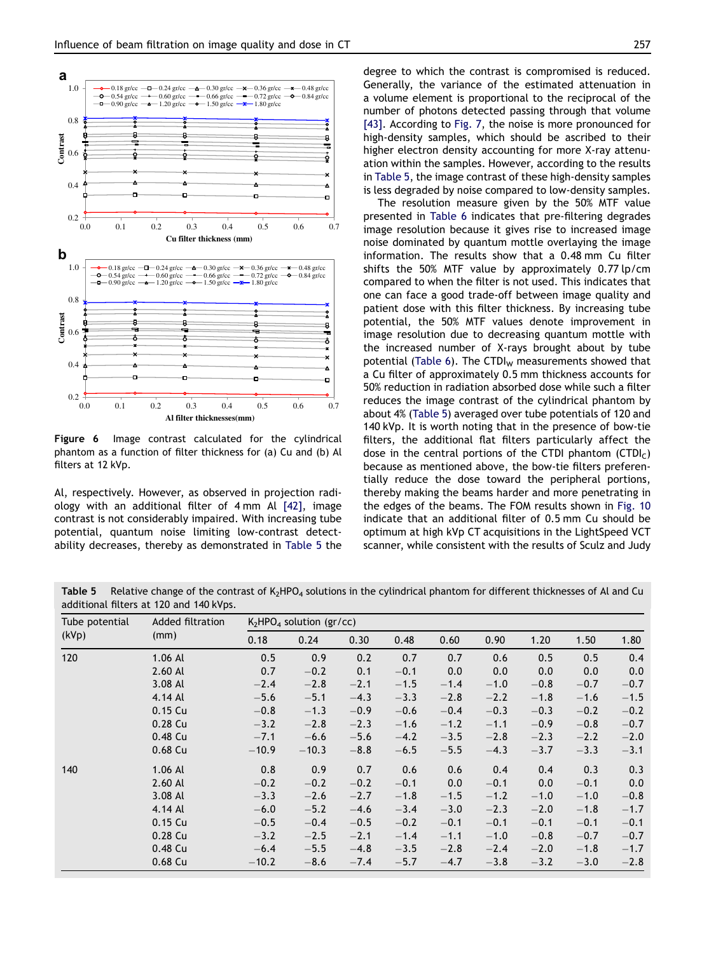<span id="page-8-0"></span>

Figure 6 Image contrast calculated for the cylindrical phantom as a function of filter thickness for (a) Cu and (b) Al filters at 12 kVp.

Al, respectively. However, as observed in projection radiology with an additional filter of 4 mm Al [\[42\],](#page-11-0) image contrast is not considerably impaired. With increasing tube potential, quantum noise limiting low-contrast detectability decreases, thereby as demonstrated in Table 5 the degree to which the contrast is compromised is reduced. Generally, the variance of the estimated attenuation in a volume element is proportional to the reciprocal of the number of photons detected passing through that volume [\[43\]](#page-11-0). According to [Fig. 7,](#page-9-0) the noise is more pronounced for high-density samples, which should be ascribed to their higher electron density accounting for more X-ray attenuation within the samples. However, according to the results in Table 5, the image contrast of these high-density samples is less degraded by noise compared to low-density samples.

The resolution measure given by the 50% MTF value presented in [Table 6](#page-9-0) indicates that pre-filtering degrades image resolution because it gives rise to increased image noise dominated by quantum mottle overlaying the image information. The results show that a 0.48 mm Cu filter shifts the 50% MTF value by approximately 0.77 lp/cm compared to when the filter is not used. This indicates that one can face a good trade-off between image quality and patient dose with this filter thickness. By increasing tube potential, the 50% MTF values denote improvement in image resolution due to decreasing quantum mottle with the increased number of X-rays brought about by tube potential [\(Table 6](#page-9-0)). The CTDI $_{w}$  measurements showed that a Cu filter of approximately 0.5 mm thickness accounts for 50% reduction in radiation absorbed dose while such a filter reduces the image contrast of the cylindrical phantom by about 4% (Table 5) averaged over tube potentials of 120 and 140 kVp. It is worth noting that in the presence of bow-tie filters, the additional flat filters particularly affect the dose in the central portions of the CTDI phantom  $(CTDI<sub>C</sub>)$ because as mentioned above, the bow-tie filters preferentially reduce the dose toward the peripheral portions, thereby making the beams harder and more penetrating in the edges of the beams. The FOM results shown in [Fig. 10](#page-10-0) indicate that an additional filter of 0.5 mm Cu should be optimum at high kVp CT acquisitions in the LightSpeed VCT scanner, while consistent with the results of Sculz and Judy

Table 5 Relative change of the contrast of K<sub>2</sub>HPO<sub>4</sub> solutions in the cylindrical phantom for different thicknesses of Al and Cu additional filters at 120 and 140 kVps.

| Tube potential | Added filtration<br>(mm) |         | $K2HPO4$ solution (gr/cc) |        |        |        |        |        |        |                     |  |
|----------------|--------------------------|---------|---------------------------|--------|--------|--------|--------|--------|--------|---------------------|--|
| (kVp)          |                          | 0.18    | 0.24                      | 0.30   | 0.48   | 0.60   | 0.90   | 1.20   | 1.50   | 1.80                |  |
| 120            | $1.06$ Al                | 0.5     | 0.9                       | 0.2    | 0.7    | 0.7    | 0.6    | 0.5    | 0.5    | 0.4                 |  |
|                | $2.60$ Al                | 0.7     | $-0.2$                    | 0.1    | $-0.1$ | 0.0    | 0.0    | 0.0    | 0.0    | 0.0                 |  |
|                | 3.08 Al                  | $-2.4$  | $-2.8$                    | $-2.1$ | $-1.5$ | $-1.4$ | $-1.0$ | $-0.8$ | $-0.7$ | $-0.7$              |  |
|                | 4.14 Al                  | $-5.6$  | $-5.1$                    | $-4.3$ | $-3.3$ | $-2.8$ | $-2.2$ | $-1.8$ | $-1.6$ | $-1.5$              |  |
|                | 0.15 Cu                  | $-0.8$  | $-1.3$                    | $-0.9$ | $-0.6$ | $-0.4$ | $-0.3$ | $-0.3$ | $-0.2$ | $-0.2$              |  |
|                | 0.28 Cu                  | $-3.2$  | $-2.8$                    | $-2.3$ | $-1.6$ | $-1.2$ | $-1.1$ | $-0.9$ | $-0.8$ | $-0.7$              |  |
|                | 0.48 Cu                  | $-7.1$  | $-6.6$                    | $-5.6$ | $-4.2$ | $-3.5$ | $-2.8$ | $-2.3$ | $-2.2$ | $-2.0$              |  |
|                | 0.68 Cu                  | $-10.9$ | $-10.3$                   | $-8.8$ | $-6.5$ | $-5.5$ | $-4.3$ | $-3.7$ | $-3.3$ | $-3.1$              |  |
| 140            | 1.06 Al                  | 0.8     | 0.9                       | 0.7    | 0.6    | 0.6    | 0.4    | 0.4    | 0.3    | 0.3                 |  |
|                | 2.60 Al                  | $-0.2$  | $-0.2$                    | $-0.2$ | $-0.1$ | 0.0    | $-0.1$ | 0.0    | $-0.1$ | 0.0                 |  |
|                | 3.08 Al                  | $-3.3$  | $-2.6$                    | $-2.7$ | $-1.8$ | $-1.5$ | $-1.2$ | $-1.0$ | $-1.0$ | $-\boldsymbol{0.8}$ |  |
|                | 4.14 Al                  | $-6.0$  | $-5.2$                    | $-4.6$ | $-3.4$ | $-3.0$ | $-2.3$ | $-2.0$ | $-1.8$ | $-1.7$              |  |
|                | $0.15$ Cu                | $-0.5$  | $-0.4$                    | $-0.5$ | $-0.2$ | $-0.1$ | $-0.1$ | $-0.1$ | $-0.1$ | $-0.1$              |  |
|                | $0.28$ Cu                | $-3.2$  | $-2.5$                    | $-2.1$ | $-1.4$ | $-1.1$ | $-1.0$ | $-0.8$ | $-0.7$ | $-0.7$              |  |
|                | 0.48 Cu                  | $-6.4$  | $-5.5$                    | $-4.8$ | $-3.5$ | $-2.8$ | $-2.4$ | $-2.0$ | $-1.8$ | $-1.7$              |  |
|                | 0.68 Cu                  | $-10.2$ | $-8.6$                    | $-7.4$ | $-5.7$ | $-4.7$ | $-3.8$ | $-3.2$ | $-3.0$ | $-2.8$              |  |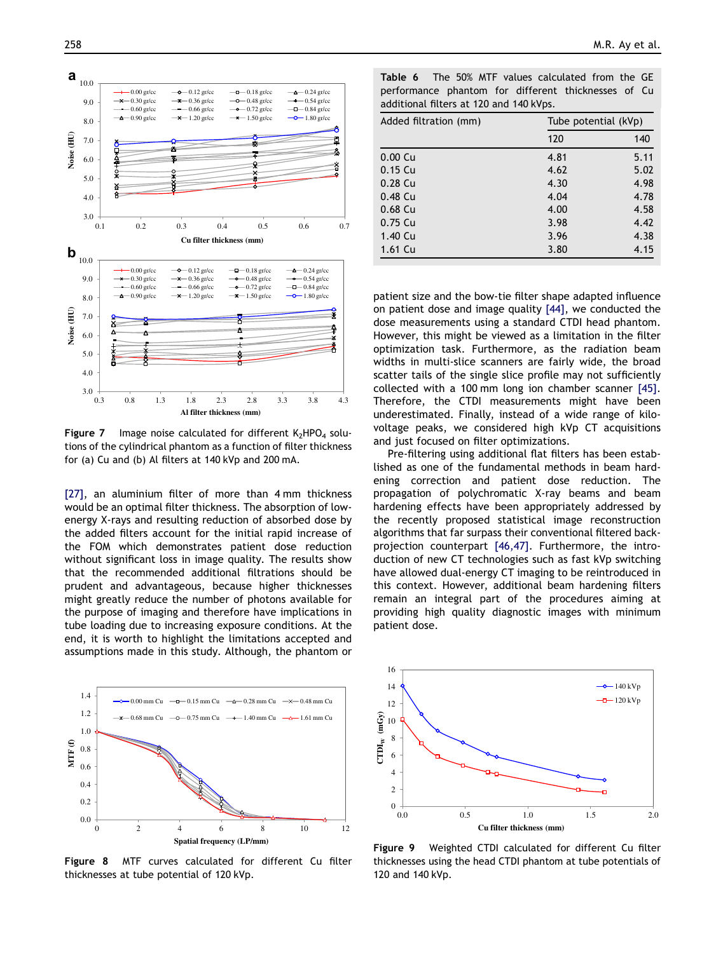<span id="page-9-0"></span>

**Figure 7** Image noise calculated for different  $K_2HPO_4$  solutions of the cylindrical phantom as a function of filter thickness for (a) Cu and (b) Al filters at 140 kVp and 200 mA.

[\[27\],](#page-11-0) an aluminium filter of more than 4 mm thickness would be an optimal filter thickness. The absorption of lowenergy X-rays and resulting reduction of absorbed dose by the added filters account for the initial rapid increase of the FOM which demonstrates patient dose reduction without significant loss in image quality. The results show that the recommended additional filtrations should be prudent and advantageous, because higher thicknesses might greatly reduce the number of photons available for the purpose of imaging and therefore have implications in tube loading due to increasing exposure conditions. At the end, it is worth to highlight the limitations accepted and assumptions made in this study. Although, the phantom or



Figure 8 MTF curves calculated for different Cu filter thicknesses at tube potential of 120 kVp.

| <b>Table 6</b> The 50% MTF values calculated from the GE |  |
|----------------------------------------------------------|--|
| performance phantom for different thicknesses of Cu      |  |
| additional filters at 120 and 140 kVps.                  |  |

| Added filtration (mm) | Tube potential (kVp) |      |  |  |  |
|-----------------------|----------------------|------|--|--|--|
|                       | 120                  | 140  |  |  |  |
| 0.00 <sub>Cu</sub>    | 4.81                 | 5.11 |  |  |  |
| 0.15 Cu               | 4.62                 | 5.02 |  |  |  |
| $0.28$ Cu             | 4.30                 | 4.98 |  |  |  |
| $0.48$ Cu             | 4.04                 | 4.78 |  |  |  |
| $0.68$ Cu             | 4.00                 | 4.58 |  |  |  |
| 0.75 Cu               | 3.98                 | 4.42 |  |  |  |
| 1.40 Cu               | 3.96                 | 4.38 |  |  |  |
| 1.61 Cu               | 3.80                 | 4.15 |  |  |  |

patient size and the bow-tie filter shape adapted influence on patient dose and image quality [\[44\],](#page-11-0) we conducted the dose measurements using a standard CTDI head phantom. However, this might be viewed as a limitation in the filter optimization task. Furthermore, as the radiation beam widths in multi-slice scanners are fairly wide, the broad scatter tails of the single slice profile may not sufficiently collected with a 100 mm long ion chamber scanner [\[45\].](#page-11-0) Therefore, the CTDI measurements might have been underestimated. Finally, instead of a wide range of kilovoltage peaks, we considered high kVp CT acquisitions and just focused on filter optimizations.

Pre-filtering using additional flat filters has been established as one of the fundamental methods in beam hardening correction and patient dose reduction. The propagation of polychromatic X-ray beams and beam hardening effects have been appropriately addressed by the recently proposed statistical image reconstruction algorithms that far surpass their conventional filtered backprojection counterpart [\[46,47\]](#page-11-0). Furthermore, the introduction of new CT technologies such as fast kVp switching have allowed dual-energy CT imaging to be reintroduced in this context. However, additional beam hardening filters remain an integral part of the procedures aiming at providing high quality diagnostic images with minimum patient dose.



Figure 9 Weighted CTDI calculated for different Cu filter thicknesses using the head CTDI phantom at tube potentials of 120 and 140 kVp.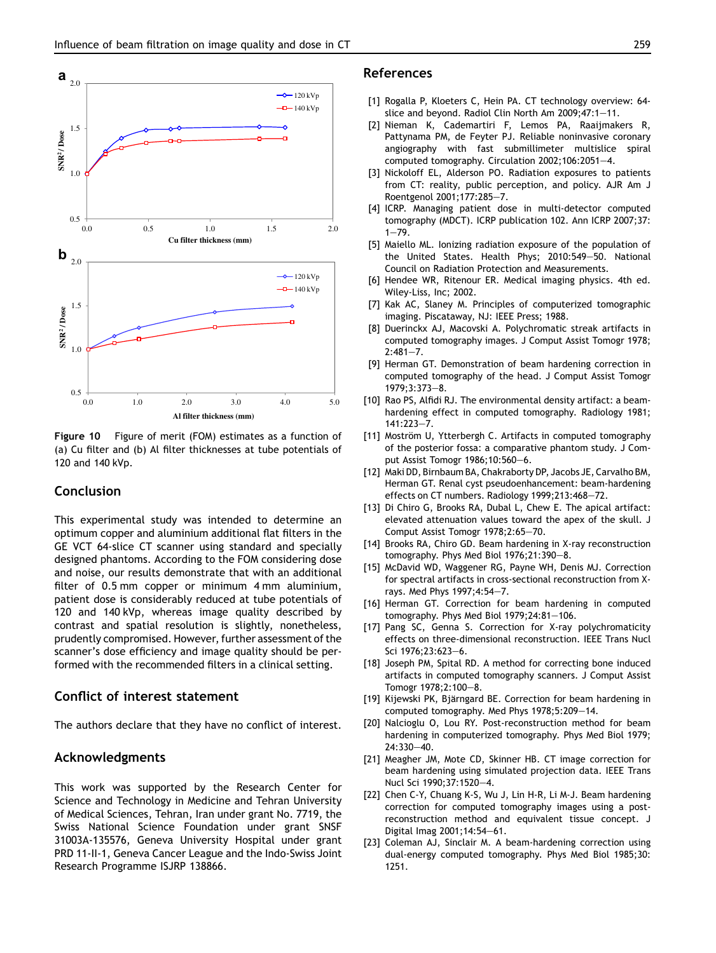<span id="page-10-0"></span>

Figure 10 Figure of merit (FOM) estimates as a function of (a) Cu filter and (b) Al filter thicknesses at tube potentials of 120 and 140 kVp.

# Conclusion

This experimental study was intended to determine an optimum copper and aluminium additional flat filters in the GE VCT 64-slice CT scanner using standard and specially designed phantoms. According to the FOM considering dose and noise, our results demonstrate that with an additional filter of 0.5 mm copper or minimum 4 mm aluminium, patient dose is considerably reduced at tube potentials of 120 and 140 kVp, whereas image quality described by contrast and spatial resolution is slightly, nonetheless, prudently compromised. However, further assessment of the scanner's dose efficiency and image quality should be performed with the recommended filters in a clinical setting.

## Conflict of interest statement

The authors declare that they have no conflict of interest.

## Acknowledgments

This work was supported by the Research Center for Science and Technology in Medicine and Tehran University of Medical Sciences, Tehran, Iran under grant No. 7719, the Swiss National Science Foundation under grant SNSF 31003A-135576, Geneva University Hospital under grant PRD 11-II-1, Geneva Cancer League and the Indo-Swiss Joint Research Programme ISJRP 138866.

# References

- [1] Rogalla P, Kloeters C, Hein PA. CT technology overview: 64 slice and beyond. Radiol Clin North Am 2009;47:1-11.
- [2] Nieman K, Cademartiri F, Lemos PA, Raaijmakers R, Pattynama PM, de Feyter PJ. Reliable noninvasive coronary angiography with fast submillimeter multislice spiral computed tomography. Circulation 2002;106:2051-4.
- [3] Nickoloff EL, Alderson PO. Radiation exposures to patients from CT: reality, public perception, and policy. AJR Am J Roentgenol 2001;177:285-7.
- [4] ICRP. Managing patient dose in multi-detector computed tomography (MDCT). ICRP publication 102. Ann ICRP 2007;37:  $1 - 79.$
- [5] Maiello ML. Ionizing radiation exposure of the population of the United States. Health Phys; 2010:549-50. National Council on Radiation Protection and Measurements.
- [6] Hendee WR, Ritenour ER. Medical imaging physics. 4th ed. Wiley-Liss, Inc; 2002.
- [7] Kak AC, Slaney M. Principles of computerized tomographic imaging. Piscataway, NJ: IEEE Press; 1988.
- [8] Duerinckx AJ, Macovski A. Polychromatic streak artifacts in computed tomography images. J Comput Assist Tomogr 1978;  $2:481 - 7$ .
- [9] Herman GT. Demonstration of beam hardening correction in computed tomography of the head. J Comput Assist Tomogr 1979:3:373-8.
- [10] Rao PS, Alfidi RJ. The environmental density artifact: a beamhardening effect in computed tomography. Radiology 1981;  $141:223 - 7.$
- [11] Moström U, Ytterbergh C. Artifacts in computed tomography of the posterior fossa: a comparative phantom study. J Comput Assist Tomogr 1986;10:560-6.
- [12] Maki DD, Birnbaum BA, Chakraborty DP, Jacobs JE, Carvalho BM, Herman GT. Renal cyst pseudoenhancement: beam-hardening effects on CT numbers. Radiology 1999;213:468-72.
- [13] Di Chiro G, Brooks RA, Dubal L, Chew E. The apical artifact: elevated attenuation values toward the apex of the skull. J Comput Assist Tomogr 1978;2:65-70.
- [14] Brooks RA, Chiro GD. Beam hardening in X-ray reconstruction tomography. Phys Med Biol  $1976;21:390-8$ .
- [15] McDavid WD, Waggener RG, Payne WH, Denis MJ. Correction for spectral artifacts in cross-sectional reconstruction from Xrays. Med Phys 1997;4:54-7.
- [16] Herman GT. Correction for beam hardening in computed tomography. Phys Med Biol 1979;24:81-106.
- [17] Pang SC, Genna S. Correction for X-ray polychromaticity effects on three-dimensional reconstruction. IEEE Trans Nucl Sci 1976:23:623-6.
- [18] Joseph PM, Spital RD. A method for correcting bone induced artifacts in computed tomography scanners. J Comput Assist Tomogr 1978;2:100-8.
- [19] Kijewski PK, Bjärngard BE. Correction for beam hardening in computed tomography. Med Phys 1978;5:209-14.
- [20] Nalcioglu O, Lou RY. Post-reconstruction method for beam hardening in computerized tomography. Phys Med Biol 1979;  $74:330-40.$
- [21] Meagher JM, Mote CD, Skinner HB. CT image correction for beam hardening using simulated projection data. IEEE Trans Nucl Sci 1990;37:1520-4.
- [22] Chen C-Y, Chuang K-S, Wu J, Lin H-R, Li M-J. Beam hardening correction for computed tomography images using a postreconstruction method and equivalent tissue concept. J Digital Imag 2001;14:54-61.
- [23] Coleman AJ, Sinclair M. A beam-hardening correction using dual-energy computed tomography. Phys Med Biol 1985;30: 1251.